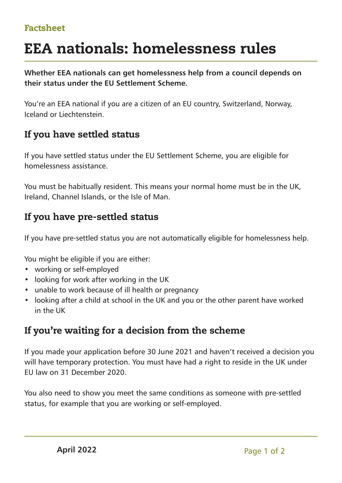#### Factsheet

# EEA nationals: homelessness rules

**Whether EEA nationals can get homelessness help from a council depends on their status under the EU Settlement Scheme.**

You're an EEA national if you are a citizen of an EU country, Switzerland, Norway, Iceland or Liechtenstein.

# If you have settled status

If you have settled status under the EU Settlement Scheme, you are eligible for homelessness assistance.

You must be habitually resident. This means your normal home must be in the UK, Ireland, Channel Islands, or the Isle of Man.

# If you have pre-settled status

If you have pre-settled status you are not automatically eligible for homelessness help.

You might be eligible if you are either:

- working or self-employed
- looking for work after working in the UK
- unable to work because of ill health or pregnancy
- looking after a child at school in the UK and you or the other parent have worked in the UK

## If you're waiting for a decision from the scheme

If you made your application before 30 June 2021 and haven't received a decision you will have temporary protection. You must have had a right to reside in the UK under EU law on 31 December 2020.

You also need to show you meet the same conditions as someone with pre-settled status, for example that you are working or self-employed.